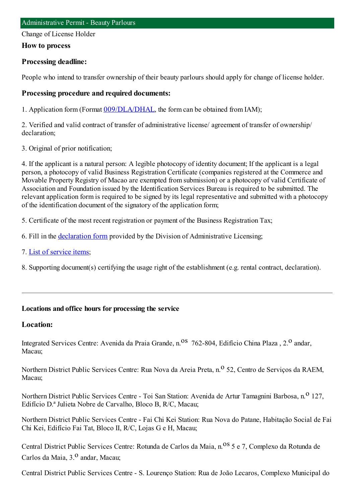Change of License Holder

#### **How to process**

## **Processing deadline:**

People who intend to transfer ownership of their beauty parlours should apply for change of license holder.

#### **Processing procedure and required documents:**

1. Application form(Format [009/DLA/DHAL](https://www.iam.gov.mo/c/pdf/eformDetail/PDF363), the formcan be obtained fromIAM);

2. Verified and valid contract of transfer of administrative license/ agreement of transfer of ownership/ declaration;

3. Original of prior notification;

4. If the applicant is a natural person: A legible photocopy of identity document; If the applicant is a legal person, a photocopy of valid Business Registration Certificate (companies registered at the Commerce and Movable Property Registry of Macao are exempted fromsubmission) or a photocopy of valid Certificate of Association and Foundation issued by the Identification Services Bureau is required to be submitted. The relevant application formis required to be signed by its legal representative and submitted with a photocopy of the identification document of the signatory of the application form;

5. Certificate of the most recent registration or payment of the Business Registration Tax;

- 6. Fill in the [declaration](https://www.iam.gov.mo/c/pdf/eformDetail/PDF364) form provided by the Division of Administrative Licensing;
- 7. List of [service](https://www.iam.gov.mo/c/pdf/eformDetail/PDF1019) items;
- 8. Supporting document(s) certifying the usage right of the establishment (e.g. rental contract, declaration).

## **Locations and office hours for processing the service**

## **Location:**

Integrated Services Centre: Avenida da Praia Grande, n.<sup>08</sup> 762-804, Edifício China Plaza, 2.<sup>0</sup> andar, Macau;

Northern District Public Services Centre: Rua Nova da Areia Preta, n.<sup>o</sup> 52, Centro de Servicos da RAEM, Macau;

Northern District Public Services Centre - Toi San Station: Avenida de Artur Tamagnini Barbosa, n.<sup>0</sup> 127, Edifício D.ª Julieta Nobre de Carvalho, Bloco B, R/C, Macau;

Northern District Public Services Centre - Fai Chi Kei Station: Rua Nova do Patane, Habitação Social de Fai Chi Kei, Edifício Fai Tat, Bloco II, R/C, Lojas G e H, Macau;

Central District Public Services Centre: Rotunda de Carlos da Maia, n.<sup>08</sup> 5 e 7, Complexo da Rotunda de Carlos da Maia, 3.<sup>0</sup> andar, Macau;

Central District Public Services Centre - S. Lourenço Station: Rua de João Lecaros, Complexo Municipal do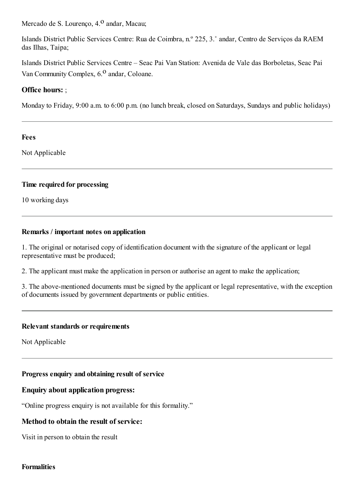Mercado de S. Lourenço, 4.<sup>0</sup> andar, Macau;

Islands District Public Services Centre: Rua de Coimbra, n.º 225, 3.˚ andar, Centro de Serviços da RAEM das Ilhas, Taipa;

Islands District Public Services Centre – Seac Pai Van Station: Avenida de Vale das Borboletas, Seac Pai Van Community Complex, 6.<sup>0</sup> andar, Coloane.

# **Office hours:** ;

Monday to Friday, 9:00 a.m. to 6:00 p.m. (no lunch break, closed on Saturdays, Sundays and public holidays)

#### **Fees**

Not Applicable

#### **Time required for processing**

10 working days

## **Remarks / important notes on application**

1. The original or notarised copy of identification document with the signature of the applicant or legal representative must be produced;

2. The applicant must make the application in person or authorise an agent to make the application;

3. The above-mentioned documents must be signed by the applicant or legal representative, with the exception of documents issued by government departments or public entities.

## **Relevant standards or requirements**

Not Applicable

## **Progress enquiry and obtaining result of service**

## **Enquiry about application progress:**

"Online progress enquiry is not available for this formality."

# **Method to obtain the result of service:**

Visit in person to obtain the result

#### **Formalities**